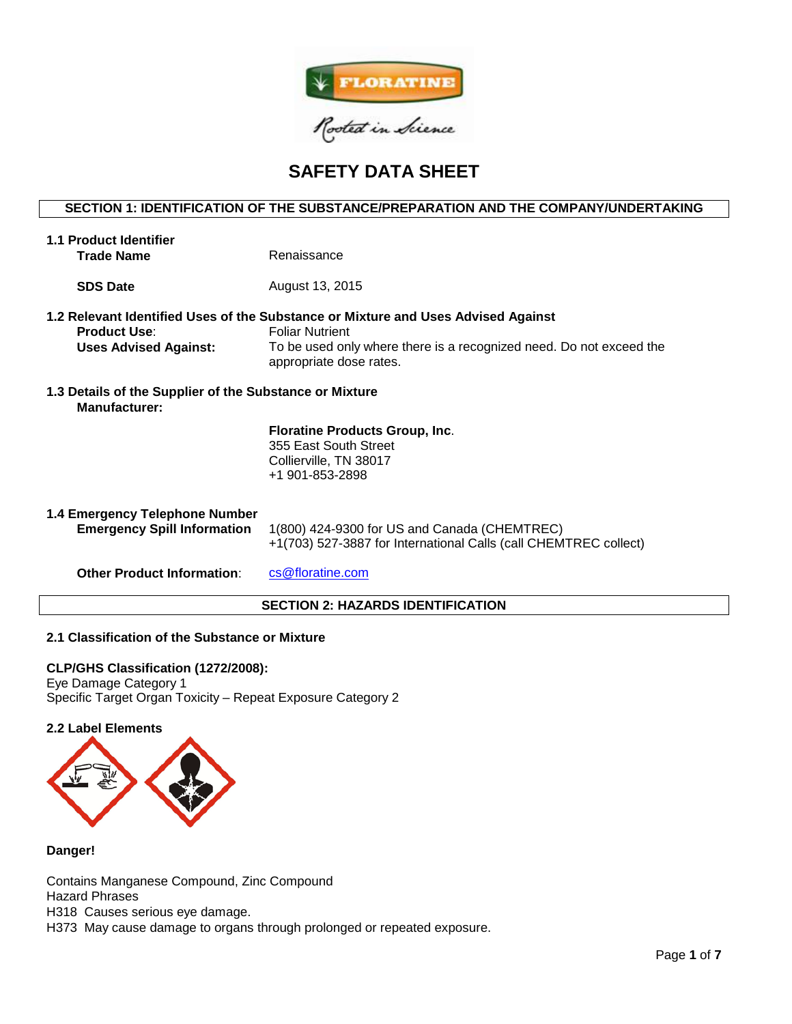

# **SAFETY DATA SHEET**

# **SECTION 1: IDENTIFICATION OF THE SUBSTANCE/PREPARATION AND THE COMPANY/UNDERTAKING**

| <b>1.1 Product Identifier</b>                                                   |                                                                                                                                                                                                               |  |  |  |  |  |
|---------------------------------------------------------------------------------|---------------------------------------------------------------------------------------------------------------------------------------------------------------------------------------------------------------|--|--|--|--|--|
| <b>Trade Name</b>                                                               | Renaissance                                                                                                                                                                                                   |  |  |  |  |  |
|                                                                                 |                                                                                                                                                                                                               |  |  |  |  |  |
| <b>SDS Date</b>                                                                 | August 13, 2015                                                                                                                                                                                               |  |  |  |  |  |
| <b>Product Use:</b><br><b>Uses Advised Against:</b>                             | 1.2 Relevant Identified Uses of the Substance or Mixture and Uses Advised Against<br><b>Foliar Nutrient</b><br>To be used only where there is a recognized need. Do not exceed the<br>appropriate dose rates. |  |  |  |  |  |
| 1.3 Details of the Supplier of the Substance or Mixture<br><b>Manufacturer:</b> |                                                                                                                                                                                                               |  |  |  |  |  |
|                                                                                 | <b>Floratine Products Group, Inc.</b><br>355 East South Street<br>Collierville, TN 38017<br>+1 901-853-2898                                                                                                   |  |  |  |  |  |
| 1.4 Emergency Telephone Number<br><b>Emergency Spill Information</b>            | 1(800) 424-9300 for US and Canada (CHEMTREC)<br>+1(703) 527-3887 for International Calls (call CHEMTREC collect)                                                                                              |  |  |  |  |  |
| <b>Other Product Information:</b>                                               | cs@floratine.com                                                                                                                                                                                              |  |  |  |  |  |
| <b>SECTION 2: HAZARDS IDENTIFICATION</b>                                        |                                                                                                                                                                                                               |  |  |  |  |  |

## **2.1 Classification of the Substance or Mixture**

# **CLP/GHS Classification (1272/2008):**

Eye Damage Category 1 Specific Target Organ Toxicity – Repeat Exposure Category 2

# **2.2 Label Elements**



## **Danger!**

Contains Manganese Compound, Zinc Compound Hazard Phrases H318 Causes serious eye damage. H373 May cause damage to organs through prolonged or repeated exposure.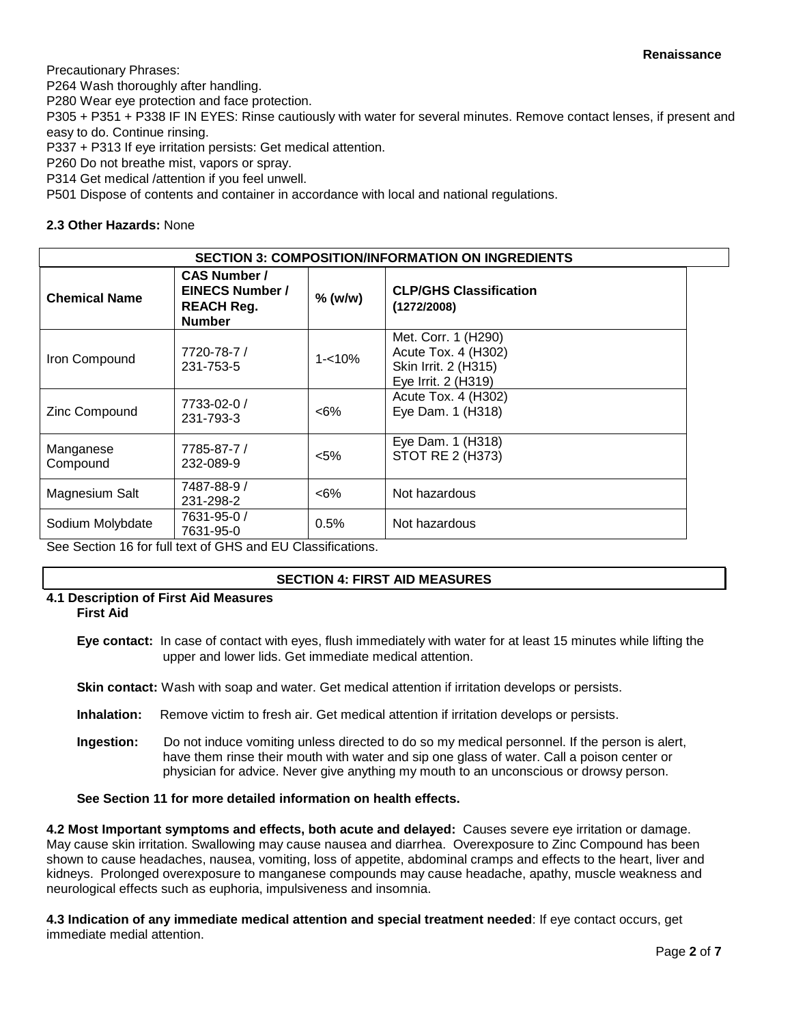Precautionary Phrases:

P264 Wash thoroughly after handling.

P280 Wear eye protection and face protection.

P305 + P351 + P338 IF IN EYES: Rinse cautiously with water for several minutes. Remove contact lenses, if present and easy to do. Continue rinsing.

P337 + P313 If eye irritation persists: Get medical attention.

P260 Do not breathe mist, vapors or spray.

P314 Get medical /attention if you feel unwell.

P501 Dispose of contents and container in accordance with local and national regulations.

# **2.3 Other Hazards:** None

| <b>SECTION 3: COMPOSITION/INFORMATION ON INGREDIENTS</b> |                                                                                     |                                                |                                                                                           |  |  |  |
|----------------------------------------------------------|-------------------------------------------------------------------------------------|------------------------------------------------|-------------------------------------------------------------------------------------------|--|--|--|
| <b>Chemical Name</b>                                     | <b>CAS Number /</b><br><b>EINECS Number /</b><br><b>REACH Reg.</b><br><b>Number</b> | $%$ (w/w)                                      | <b>CLP/GHS Classification</b><br>(1272/2008)                                              |  |  |  |
| Iron Compound                                            | 7720-78-7 /<br>231-753-5                                                            | $1 - 10\%$                                     | Met. Corr. 1 (H290)<br>Acute Tox. 4 (H302)<br>Skin Irrit. 2 (H315)<br>Eye Irrit. 2 (H319) |  |  |  |
| Zinc Compound                                            | 7733-02-0 /<br>231-793-3                                                            | $<6\%$                                         | Acute Tox. 4 (H302)<br>Eye Dam. 1 (H318)                                                  |  |  |  |
| Manganese<br>Compound                                    | 7785-87-7 /<br>232-089-9                                                            | $5%$                                           | Eye Dam. 1 (H318)<br>STOT RE 2 (H373)                                                     |  |  |  |
| Magnesium Salt                                           | 7487-88-9 /<br>231-298-2                                                            | $<6\%$                                         | Not hazardous                                                                             |  |  |  |
| Sodium Molybdate                                         | 7631-95-0 /<br>7631-95-0                                                            | 0.5%<br>$\mathbf{r}$ . The set of $\mathbf{r}$ | Not hazardous                                                                             |  |  |  |

See Section 16 for full text of GHS and EU Classifications.

# **SECTION 4: FIRST AID MEASURES**

# **4.1 Description of First Aid Measures**

**First Aid**

**Eye contact:** In case of contact with eyes, flush immediately with water for at least 15 minutes while lifting the upper and lower lids. Get immediate medical attention.

**Skin contact:** Wash with soap and water. Get medical attention if irritation develops or persists.

- **Inhalation:** Remove victim to fresh air. Get medical attention if irritation develops or persists.
- **Ingestion:** Do not induce vomiting unless directed to do so my medical personnel. If the person is alert, have them rinse their mouth with water and sip one glass of water. Call a poison center or physician for advice. Never give anything my mouth to an unconscious or drowsy person.

# **See Section 11 for more detailed information on health effects.**

**4.2 Most Important symptoms and effects, both acute and delayed:** Causes severe eye irritation or damage. May cause skin irritation. Swallowing may cause nausea and diarrhea. Overexposure to Zinc Compound has been shown to cause headaches, nausea, vomiting, loss of appetite, abdominal cramps and effects to the heart, liver and kidneys. Prolonged overexposure to manganese compounds may cause headache, apathy, muscle weakness and neurological effects such as euphoria, impulsiveness and insomnia.

**4.3 Indication of any immediate medical attention and special treatment needed**: If eye contact occurs, get immediate medial attention.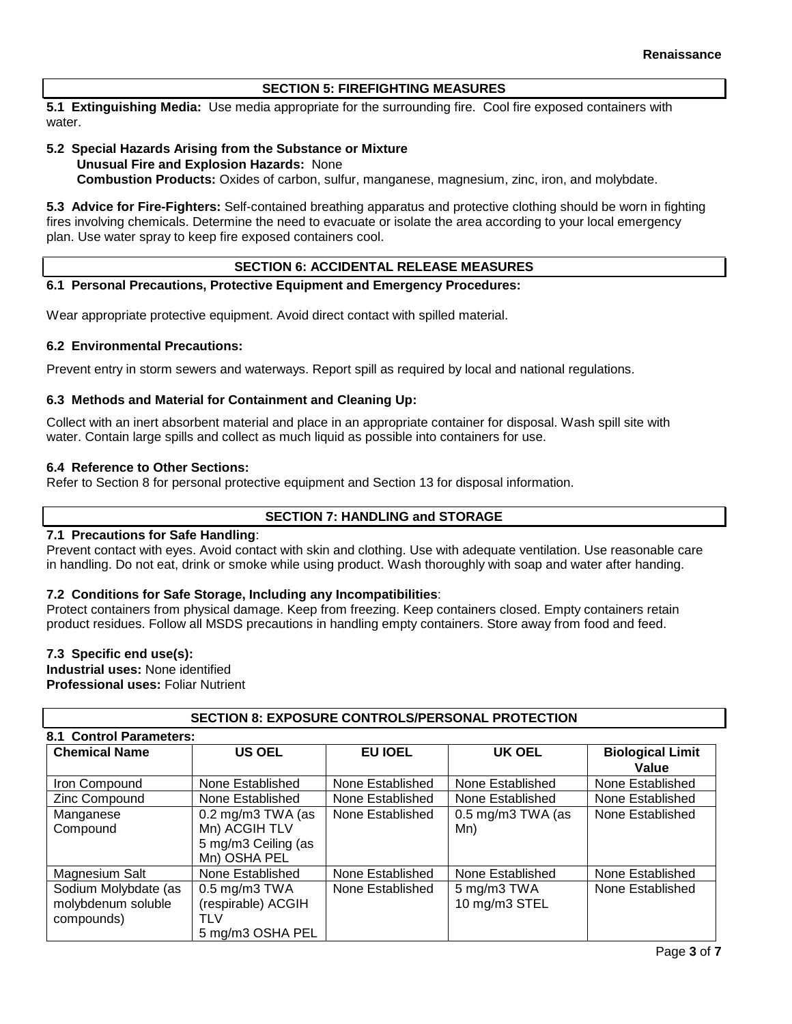# **SECTION 5: FIREFIGHTING MEASURES**

**5.1 Extinguishing Media:** Use media appropriate for the surrounding fire. Cool fire exposed containers with water.

#### **5.2 Special Hazards Arising from the Substance or Mixture Unusual Fire and Explosion Hazards:** None

**Combustion Products:** Oxides of carbon, sulfur, manganese, magnesium, zinc, iron, and molybdate.

**5.3 Advice for Fire-Fighters:** Self-contained breathing apparatus and protective clothing should be worn in fighting fires involving chemicals. Determine the need to evacuate or isolate the area according to your local emergency plan. Use water spray to keep fire exposed containers cool.

## **SECTION 6: ACCIDENTAL RELEASE MEASURES**

## **6.1 Personal Precautions, Protective Equipment and Emergency Procedures:**

Wear appropriate protective equipment. Avoid direct contact with spilled material.

## **6.2 Environmental Precautions:**

Prevent entry in storm sewers and waterways. Report spill as required by local and national regulations.

## **6.3 Methods and Material for Containment and Cleaning Up:**

Collect with an inert absorbent material and place in an appropriate container for disposal. Wash spill site with water. Contain large spills and collect as much liquid as possible into containers for use.

## **6.4 Reference to Other Sections:**

Refer to Section 8 for personal protective equipment and Section 13 for disposal information.

## **SECTION 7: HANDLING and STORAGE**

## **7.1 Precautions for Safe Handling**:

Prevent contact with eyes. Avoid contact with skin and clothing. Use with adequate ventilation. Use reasonable care in handling. Do not eat, drink or smoke while using product. Wash thoroughly with soap and water after handing.

## **7.2 Conditions for Safe Storage, Including any Incompatibilities**:

Protect containers from physical damage. Keep from freezing. Keep containers closed. Empty containers retain product residues. Follow all MSDS precautions in handling empty containers. Store away from food and feed.

#### **7.3 Specific end use(s):**

**Industrial uses:** None identified **Professional uses:** Foliar Nutrient

| וטווטם ומטוור שמחשר ושבטחומט בתוכנית<br>8.1 Control Parameters: |                                                                             |                  |                              |                                  |  |  |  |
|-----------------------------------------------------------------|-----------------------------------------------------------------------------|------------------|------------------------------|----------------------------------|--|--|--|
| <b>Chemical Name</b>                                            | <b>US OEL</b>                                                               | <b>EU IOEL</b>   | UK OEL                       | <b>Biological Limit</b><br>Value |  |  |  |
| Iron Compound                                                   | None Established                                                            | None Established | None Established             | None Established                 |  |  |  |
| Zinc Compound                                                   | None Established                                                            | None Established | None Established             | None Established                 |  |  |  |
| Manganese<br>Compound                                           | $0.2$ mg/m3 TWA (as<br>Mn) ACGIH TLV<br>5 mg/m3 Ceiling (as<br>Mn) OSHA PEL | None Established | $0.5$ mg/m3 TWA (as<br>Mn)   | None Established                 |  |  |  |
| Magnesium Salt                                                  | None Established                                                            | None Established | None Established             | None Established                 |  |  |  |
| Sodium Molybdate (as<br>molybdenum soluble<br>compounds)        | $0.5$ mg/m $3$ TWA<br>(respirable) ACGIH<br>TLV<br>5 mg/m3 OSHA PEL         | None Established | 5 mg/m3 TWA<br>10 mg/m3 STEL | None Established                 |  |  |  |

**SECTION 8: EXPOSURE CONTROLS/PERSONAL PROTECTION**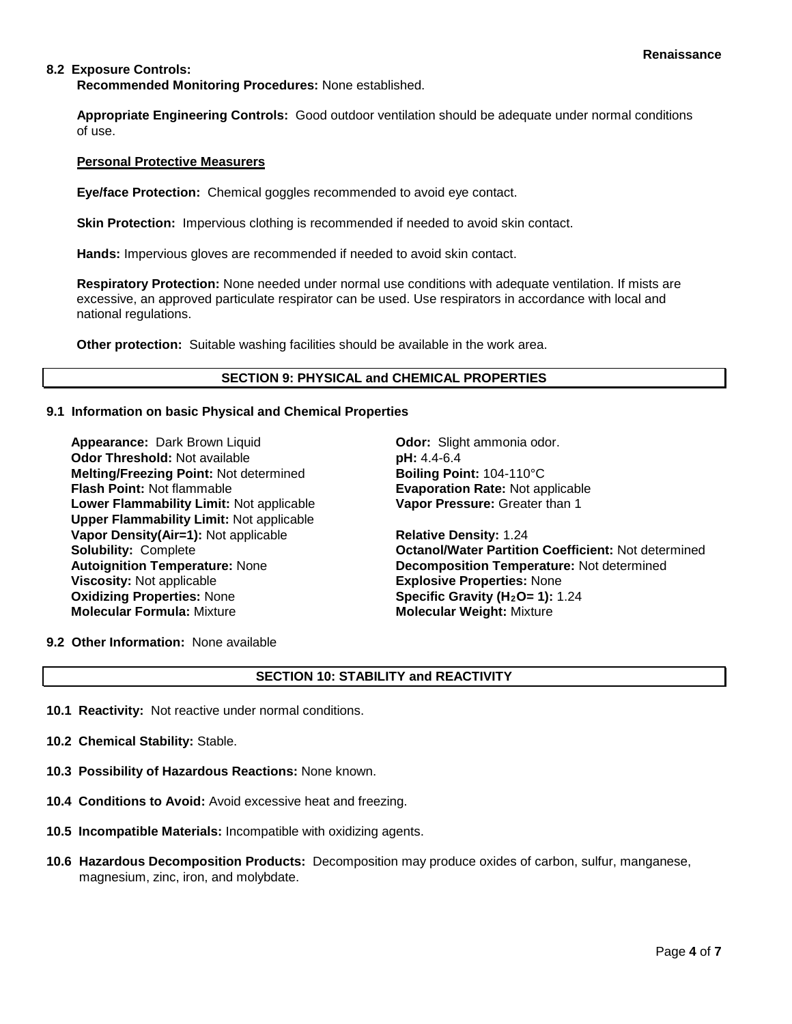## **8.2 Exposure Controls:**

**Recommended Monitoring Procedures:** None established.

**Appropriate Engineering Controls:** Good outdoor ventilation should be adequate under normal conditions of use.

#### **Personal Protective Measurers**

**Eye/face Protection:** Chemical goggles recommended to avoid eye contact.

**Skin Protection:** Impervious clothing is recommended if needed to avoid skin contact.

**Hands:** Impervious gloves are recommended if needed to avoid skin contact.

**Respiratory Protection:** None needed under normal use conditions with adequate ventilation. If mists are excessive, an approved particulate respirator can be used. Use respirators in accordance with local and national regulations.

**Other protection:** Suitable washing facilities should be available in the work area.

## **SECTION 9: PHYSICAL and CHEMICAL PROPERTIES**

### **9.1 Information on basic Physical and Chemical Properties**

**Appearance:** Dark Brown Liquid **Concernsive Codor:** Slight ammonia odor. **Odor Threshold:** Not available **pH:** 4.4-6.4 **Melting/Freezing Point:** Not determined **Boiling Point:** 104-110°C **Flash Point:** Not flammable **Evaporation Rate:** Not applicable **Lower Flammability Limit:** Not applicable **Upper Flammability Limit:** Not applicable **Vapor Density(Air=1):** Not applicable **Relative Density:** 1.24 **Viscosity:** Not applicable **Explosive Properties:** None<br> **Oxidizing Properties:** None **Explosive Properties: 1):** 1 **Oxidizing Properties: None <b>Specific Gravity (H<sub>2</sub>O= 1):** 1.24<br> **Molecular Formula:** Mixture **State of Molecular Weight:** Mixture

**Vapor Pressure:** Greater than 1

**Solubility:** Complete **Octanol/Water Partition Coefficient:** Not determined **Autoignition Temperature:** None **Decomposition Temperature:** Not determined **Molecular Formula:** Mixture **Molecular Weight:** Mixture

**9.2 Other Information:** None available

# **SECTION 10: STABILITY and REACTIVITY**

- **10.1 Reactivity:** Not reactive under normal conditions.
- **10.2 Chemical Stability:** Stable.
- **10.3 Possibility of Hazardous Reactions:** None known.
- **10.4 Conditions to Avoid:** Avoid excessive heat and freezing.
- **10.5 Incompatible Materials:** Incompatible with oxidizing agents.
- **10.6 Hazardous Decomposition Products:** Decomposition may produce oxides of carbon, sulfur, manganese, magnesium, zinc, iron, and molybdate.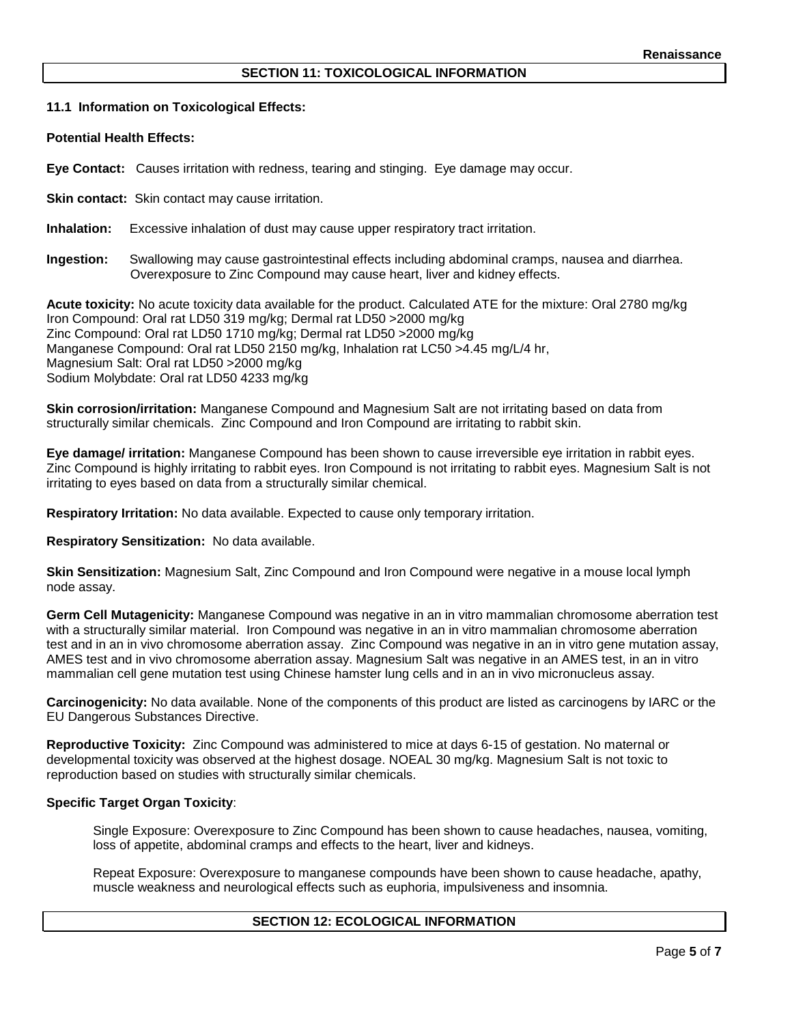## **11.1 Information on Toxicological Effects:**

#### **Potential Health Effects:**

**Eye Contact:** Causes irritation with redness, tearing and stinging. Eye damage may occur.

**Skin contact:** Skin contact may cause irritation.

**Inhalation:** Excessive inhalation of dust may cause upper respiratory tract irritation.

**Ingestion:** Swallowing may cause gastrointestinal effects including abdominal cramps, nausea and diarrhea. Overexposure to Zinc Compound may cause heart, liver and kidney effects.

**Acute toxicity:** No acute toxicity data available for the product. Calculated ATE for the mixture: Oral 2780 mg/kg Iron Compound: Oral rat LD50 319 mg/kg; Dermal rat LD50 >2000 mg/kg Zinc Compound: Oral rat LD50 1710 mg/kg; Dermal rat LD50 >2000 mg/kg Manganese Compound: Oral rat LD50 2150 mg/kg, Inhalation rat LC50 >4.45 mg/L/4 hr, Magnesium Salt: Oral rat LD50 >2000 mg/kg Sodium Molybdate: Oral rat LD50 4233 mg/kg

**Skin corrosion/irritation:** Manganese Compound and Magnesium Salt are not irritating based on data from structurally similar chemicals. Zinc Compound and Iron Compound are irritating to rabbit skin.

**Eye damage/ irritation:** Manganese Compound has been shown to cause irreversible eye irritation in rabbit eyes. Zinc Compound is highly irritating to rabbit eyes. Iron Compound is not irritating to rabbit eyes. Magnesium Salt is not irritating to eyes based on data from a structurally similar chemical.

**Respiratory Irritation:** No data available. Expected to cause only temporary irritation.

**Respiratory Sensitization:** No data available.

**Skin Sensitization:** Magnesium Salt, Zinc Compound and Iron Compound were negative in a mouse local lymph node assay.

**Germ Cell Mutagenicity:** Manganese Compound was negative in an in vitro mammalian chromosome aberration test with a structurally similar material. Iron Compound was negative in an in vitro mammalian chromosome aberration test and in an in vivo chromosome aberration assay. Zinc Compound was negative in an in vitro gene mutation assay, AMES test and in vivo chromosome aberration assay. Magnesium Salt was negative in an AMES test, in an in vitro mammalian cell gene mutation test using Chinese hamster lung cells and in an in vivo micronucleus assay.

**Carcinogenicity:** No data available. None of the components of this product are listed as carcinogens by IARC or the EU Dangerous Substances Directive.

**Reproductive Toxicity:** Zinc Compound was administered to mice at days 6-15 of gestation. No maternal or developmental toxicity was observed at the highest dosage. NOEAL 30 mg/kg. Magnesium Salt is not toxic to reproduction based on studies with structurally similar chemicals.

#### **Specific Target Organ Toxicity**:

Single Exposure: Overexposure to Zinc Compound has been shown to cause headaches, nausea, vomiting, loss of appetite, abdominal cramps and effects to the heart, liver and kidneys.

Repeat Exposure: Overexposure to manganese compounds have been shown to cause headache, apathy, muscle weakness and neurological effects such as euphoria, impulsiveness and insomnia.

# **SECTION 12: ECOLOGICAL INFORMATION**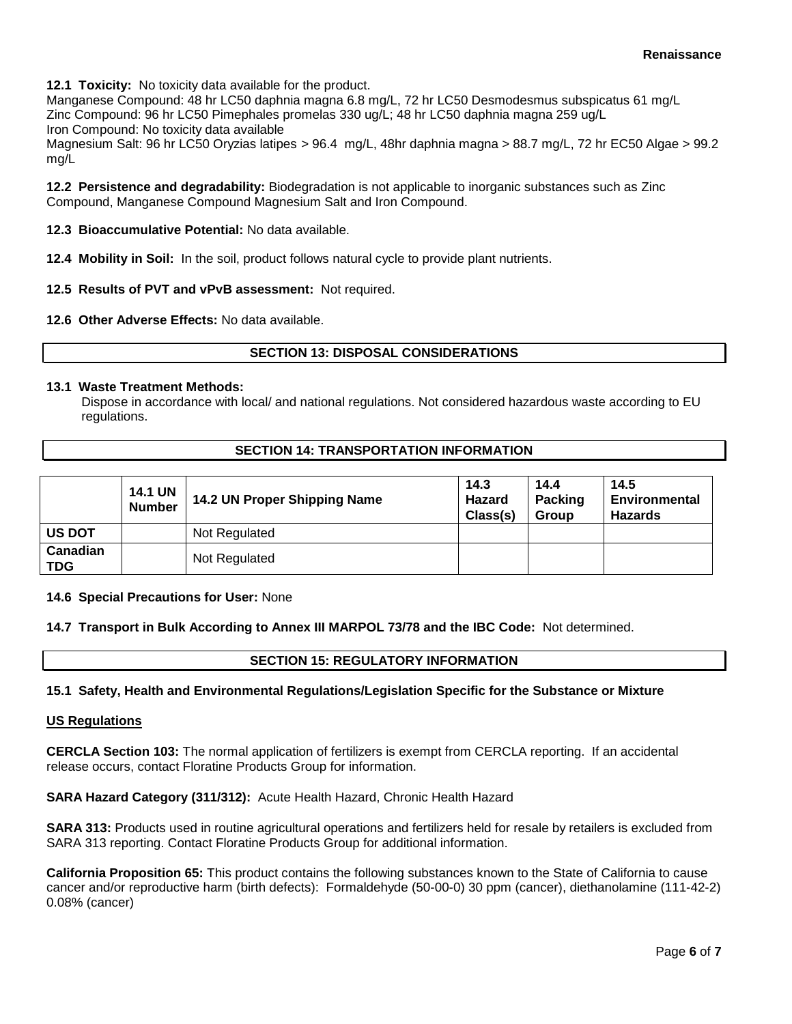**12.1 Toxicity:** No toxicity data available for the product.

Manganese Compound: 48 hr LC50 daphnia magna 6.8 mg/L, 72 hr LC50 Desmodesmus subspicatus 61 mg/L Zinc Compound: 96 hr LC50 Pimephales promelas 330 ug/L; 48 hr LC50 daphnia magna 259 ug/L

Iron Compound: No toxicity data available

Magnesium Salt: 96 hr LC50 Oryzias latipes > 96.4 mg/L, 48hr daphnia magna > 88.7 mg/L, 72 hr EC50 Algae > 99.2 mg/L

**12.2 Persistence and degradability:** Biodegradation is not applicable to inorganic substances such as Zinc Compound, Manganese Compound Magnesium Salt and Iron Compound.

**12.3 Bioaccumulative Potential:** No data available.

**12.4 Mobility in Soil:** In the soil, product follows natural cycle to provide plant nutrients.

- **12.5 Results of PVT and vPvB assessment:** Not required.
- **12.6 Other Adverse Effects:** No data available.

## **SECTION 13: DISPOSAL CONSIDERATIONS**

## **13.1 Waste Treatment Methods:**

Dispose in accordance with local/ and national regulations. Not considered hazardous waste according to EU regulations.

## **SECTION 14: TRANSPORTATION INFORMATION**

|                        | <b>14.1 UN</b><br><b>Number</b> | 14.2 UN Proper Shipping Name | 14.3<br>Hazard<br>Class(s) | 14.4<br>Packing<br><b>Group</b> | 14.5<br><b>Environmental</b><br><b>Hazards</b> |
|------------------------|---------------------------------|------------------------------|----------------------------|---------------------------------|------------------------------------------------|
| <b>US DOT</b>          |                                 | Not Regulated                |                            |                                 |                                                |
| Canadian<br><b>TDG</b> |                                 | Not Regulated                |                            |                                 |                                                |

#### **14.6 Special Precautions for User:** None

**14.7 Transport in Bulk According to Annex III MARPOL 73/78 and the IBC Code:** Not determined.

## **SECTION 15: REGULATORY INFORMATION**

#### **15.1 Safety, Health and Environmental Regulations/Legislation Specific for the Substance or Mixture**

#### **US Regulations**

**CERCLA Section 103:** The normal application of fertilizers is exempt from CERCLA reporting. If an accidental release occurs, contact Floratine Products Group for information.

**SARA Hazard Category (311/312):** Acute Health Hazard, Chronic Health Hazard

**SARA 313:** Products used in routine agricultural operations and fertilizers held for resale by retailers is excluded from SARA 313 reporting. Contact Floratine Products Group for additional information.

**California Proposition 65:** This product contains the following substances known to the State of California to cause cancer and/or reproductive harm (birth defects): Formaldehyde (50-00-0) 30 ppm (cancer), diethanolamine (111-42-2) 0.08% (cancer)